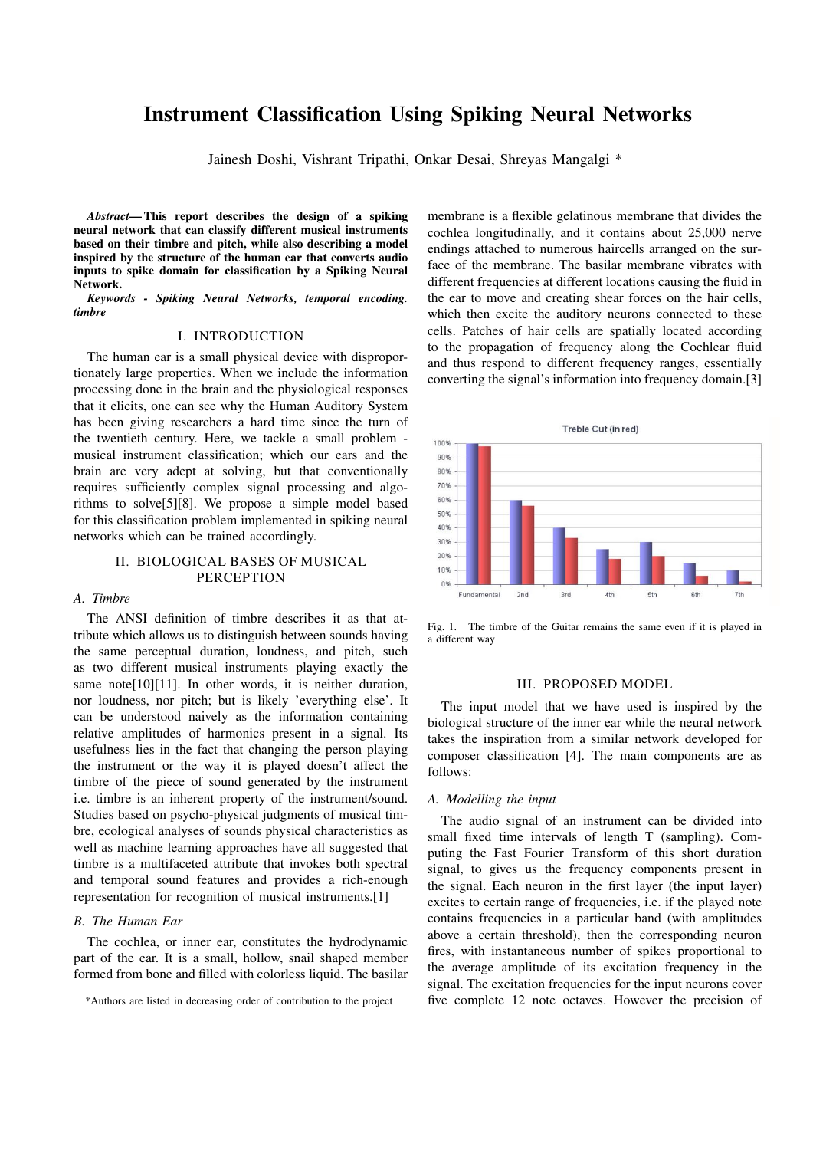# Instrument Classification Using Spiking Neural Networks

Jainesh Doshi, Vishrant Tripathi, Onkar Desai, Shreyas Mangalgi \*

*Abstract*— This report describes the design of a spiking neural network that can classify different musical instruments based on their timbre and pitch, while also describing a model inspired by the structure of the human ear that converts audio inputs to spike domain for classification by a Spiking Neural Network.

*Keywords - Spiking Neural Networks, temporal encoding. timbre*

#### I. INTRODUCTION

The human ear is a small physical device with disproportionately large properties. When we include the information processing done in the brain and the physiological responses that it elicits, one can see why the Human Auditory System has been giving researchers a hard time since the turn of the twentieth century. Here, we tackle a small problem musical instrument classification; which our ears and the brain are very adept at solving, but that conventionally requires sufficiently complex signal processing and algorithms to solve[5][8]. We propose a simple model based for this classification problem implemented in spiking neural networks which can be trained accordingly.

## II. BIOLOGICAL BASES OF MUSICAL PERCEPTION

## *A. Timbre*

The ANSI definition of timbre describes it as that attribute which allows us to distinguish between sounds having the same perceptual duration, loudness, and pitch, such as two different musical instruments playing exactly the same note[10][11]. In other words, it is neither duration, nor loudness, nor pitch; but is likely 'everything else'. It can be understood naively as the information containing relative amplitudes of harmonics present in a signal. Its usefulness lies in the fact that changing the person playing the instrument or the way it is played doesn't affect the timbre of the piece of sound generated by the instrument i.e. timbre is an inherent property of the instrument/sound. Studies based on psycho-physical judgments of musical timbre, ecological analyses of sounds physical characteristics as well as machine learning approaches have all suggested that timbre is a multifaceted attribute that invokes both spectral and temporal sound features and provides a rich-enough representation for recognition of musical instruments.[1]

## *B. The Human Ear*

The cochlea, or inner ear, constitutes the hydrodynamic part of the ear. It is a small, hollow, snail shaped member formed from bone and filled with colorless liquid. The basilar membrane is a flexible gelatinous membrane that divides the cochlea longitudinally, and it contains about 25,000 nerve endings attached to numerous haircells arranged on the surface of the membrane. The basilar membrane vibrates with different frequencies at different locations causing the fluid in the ear to move and creating shear forces on the hair cells, which then excite the auditory neurons connected to these cells. Patches of hair cells are spatially located according to the propagation of frequency along the Cochlear fluid and thus respond to different frequency ranges, essentially converting the signal's information into frequency domain.[3]



Fig. 1. The timbre of the Guitar remains the same even if it is played in a different way

#### III. PROPOSED MODEL

The input model that we have used is inspired by the biological structure of the inner ear while the neural network takes the inspiration from a similar network developed for composer classification [4]. The main components are as follows:

# *A. Modelling the input*

The audio signal of an instrument can be divided into small fixed time intervals of length T (sampling). Computing the Fast Fourier Transform of this short duration signal, to gives us the frequency components present in the signal. Each neuron in the first layer (the input layer) excites to certain range of frequencies, i.e. if the played note contains frequencies in a particular band (with amplitudes above a certain threshold), then the corresponding neuron fires, with instantaneous number of spikes proportional to the average amplitude of its excitation frequency in the signal. The excitation frequencies for the input neurons cover five complete 12 note octaves. However the precision of

<sup>\*</sup>Authors are listed in decreasing order of contribution to the project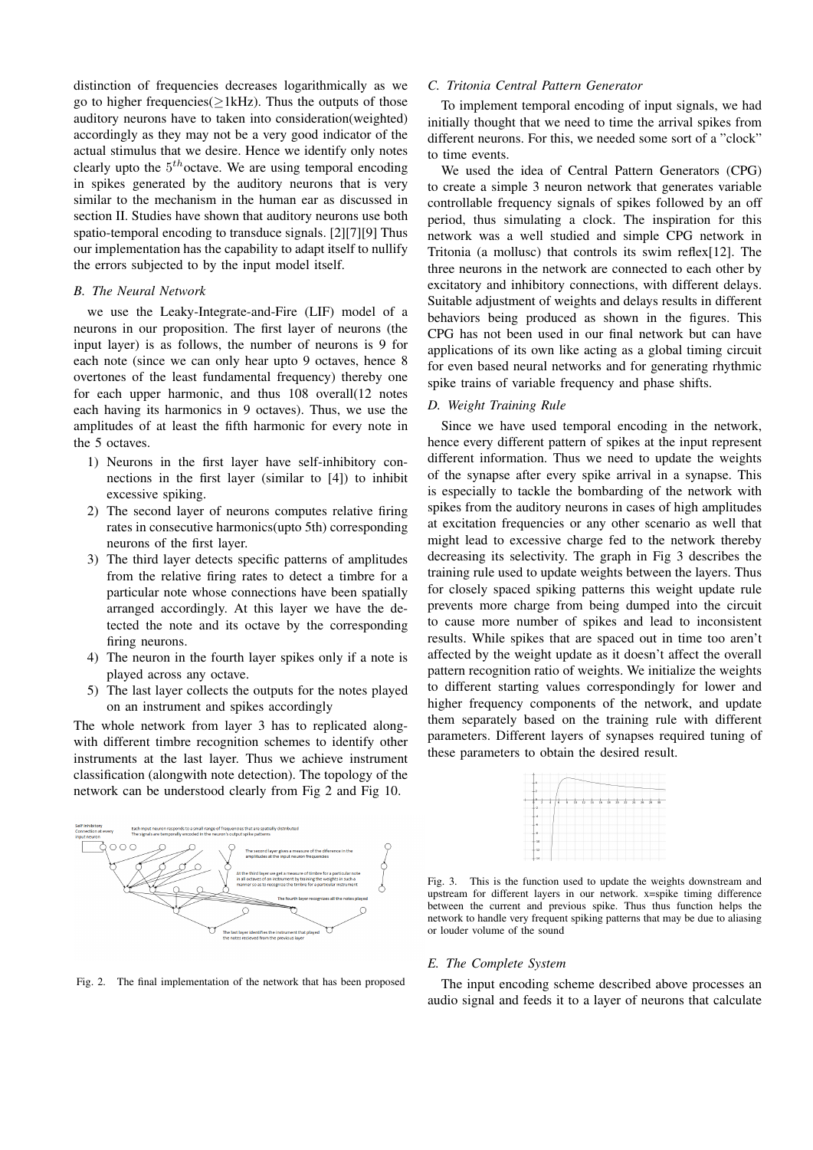distinction of frequencies decreases logarithmically as we go to higher frequencies( $\geq$ 1kHz). Thus the outputs of those auditory neurons have to taken into consideration(weighted) accordingly as they may not be a very good indicator of the actual stimulus that we desire. Hence we identify only notes clearly upto the  $5<sup>th</sup>$ octave. We are using temporal encoding in spikes generated by the auditory neurons that is very similar to the mechanism in the human ear as discussed in section II. Studies have shown that auditory neurons use both spatio-temporal encoding to transduce signals. [2][7][9] Thus our implementation has the capability to adapt itself to nullify the errors subjected to by the input model itself.

#### *B. The Neural Network*

we use the Leaky-Integrate-and-Fire (LIF) model of a neurons in our proposition. The first layer of neurons (the input layer) is as follows, the number of neurons is 9 for each note (since we can only hear upto 9 octaves, hence 8 overtones of the least fundamental frequency) thereby one for each upper harmonic, and thus 108 overall(12 notes each having its harmonics in 9 octaves). Thus, we use the amplitudes of at least the fifth harmonic for every note in the 5 octaves.

- 1) Neurons in the first layer have self-inhibitory connections in the first layer (similar to [4]) to inhibit excessive spiking.
- 2) The second layer of neurons computes relative firing rates in consecutive harmonics(upto 5th) corresponding neurons of the first layer.
- 3) The third layer detects specific patterns of amplitudes from the relative firing rates to detect a timbre for a particular note whose connections have been spatially arranged accordingly. At this layer we have the detected the note and its octave by the corresponding firing neurons.
- 4) The neuron in the fourth layer spikes only if a note is played across any octave.
- 5) The last layer collects the outputs for the notes played on an instrument and spikes accordingly

The whole network from layer 3 has to replicated alongwith different timbre recognition schemes to identify other instruments at the last layer. Thus we achieve instrument classification (alongwith note detection). The topology of the network can be understood clearly from Fig 2 and Fig 10.



### Fig. 2. The final implementation of the network that has been proposed

#### *C. Tritonia Central Pattern Generator*

To implement temporal encoding of input signals, we had initially thought that we need to time the arrival spikes from different neurons. For this, we needed some sort of a "clock" to time events.

We used the idea of Central Pattern Generators (CPG) to create a simple 3 neuron network that generates variable controllable frequency signals of spikes followed by an off period, thus simulating a clock. The inspiration for this network was a well studied and simple CPG network in Tritonia (a mollusc) that controls its swim reflex[12]. The three neurons in the network are connected to each other by excitatory and inhibitory connections, with different delays. Suitable adjustment of weights and delays results in different behaviors being produced as shown in the figures. This CPG has not been used in our final network but can have applications of its own like acting as a global timing circuit for even based neural networks and for generating rhythmic spike trains of variable frequency and phase shifts.

#### *D. Weight Training Rule*

Since we have used temporal encoding in the network, hence every different pattern of spikes at the input represent different information. Thus we need to update the weights of the synapse after every spike arrival in a synapse. This is especially to tackle the bombarding of the network with spikes from the auditory neurons in cases of high amplitudes at excitation frequencies or any other scenario as well that might lead to excessive charge fed to the network thereby decreasing its selectivity. The graph in Fig 3 describes the training rule used to update weights between the layers. Thus for closely spaced spiking patterns this weight update rule prevents more charge from being dumped into the circuit to cause more number of spikes and lead to inconsistent results. While spikes that are spaced out in time too aren't affected by the weight update as it doesn't affect the overall pattern recognition ratio of weights. We initialize the weights to different starting values correspondingly for lower and higher frequency components of the network, and update them separately based on the training rule with different parameters. Different layers of synapses required tuning of these parameters to obtain the desired result.

| ÷.<br>-2 |  |  |  |                                  | $\overline{\phantom{a}}$ |  |  |  |  |  |  |
|----------|--|--|--|----------------------------------|--------------------------|--|--|--|--|--|--|
| ٠        |  |  |  | 10 12 14 15 18 20 22 24 25 28 30 |                          |  |  |  |  |  |  |
| L2       |  |  |  |                                  |                          |  |  |  |  |  |  |
| Lа       |  |  |  |                                  |                          |  |  |  |  |  |  |
| ⊥ઠ       |  |  |  |                                  |                          |  |  |  |  |  |  |
| $-8$     |  |  |  |                                  |                          |  |  |  |  |  |  |
| $+.10$   |  |  |  |                                  |                          |  |  |  |  |  |  |
| $+12$    |  |  |  |                                  |                          |  |  |  |  |  |  |
| $+14$    |  |  |  |                                  |                          |  |  |  |  |  |  |

Fig. 3. This is the function used to update the weights downstream and upstream for different layers in our network. x=spike timing difference between the current and previous spike. Thus thus function helps the network to handle very frequent spiking patterns that may be due to aliasing or louder volume of the sound

#### *E. The Complete System*

The input encoding scheme described above processes an audio signal and feeds it to a layer of neurons that calculate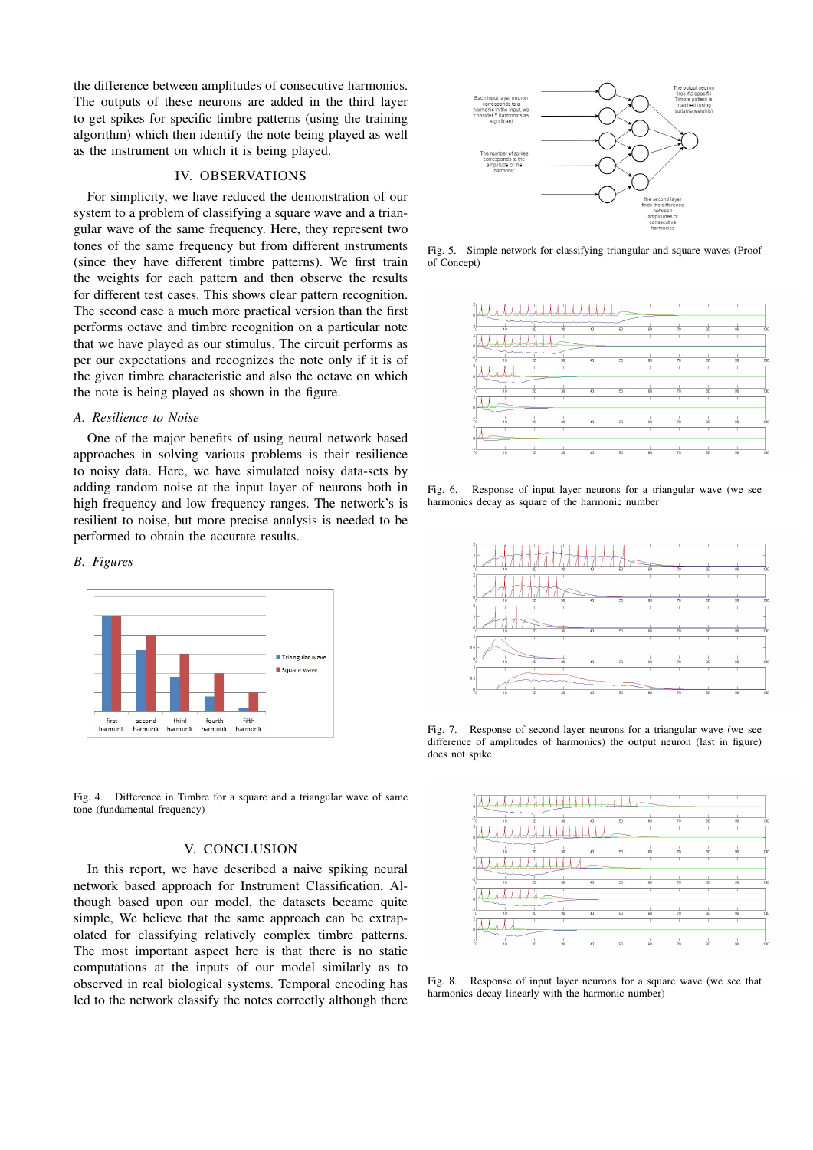the difference between amplitudes of consecutive harmonics. The outputs of these neurons are added in the third layer to get spikes for specific timbre patterns (using the training algorithm) which then identify the note being played as well as the instrument on which it is being played.

# IV. OBSERVATIONS

For simplicity, we have reduced the demonstration of our system to a problem of classifying a square wave and a triangular wave of the same frequency. Here, they represent two tones of the same frequency but from different instruments (since they have different timbre patterns). We first train the weights for each pattern and then observe the results for different test cases. This shows clear pattern recognition. The second case a much more practical version than the first performs octave and timbre recognition on a particular note that we have played as our stimulus. The circuit performs as per our expectations and recognizes the note only if it is of the given timbre characteristic and also the octave on which the note is being played as shown in the figure.

## *A. Resilience to Noise*

One of the major benefits of using neural network based approaches in solving various problems is their resilience to noisy data. Here, we have simulated noisy data-sets by adding random noise at the input layer of neurons both in high frequency and low frequency ranges. The network's is resilient to noise, but more precise analysis is needed to be performed to obtain the accurate results.

#### *B. Figures*



Fig. 4. Difference in Timbre for a square and a triangular wave of same tone (fundamental frequency)

# V. CONCLUSION

In this report, we have described a naive spiking neural network based approach for Instrument Classification. Although based upon our model, the datasets became quite simple, We believe that the same approach can be extrapolated for classifying relatively complex timbre patterns. The most important aspect here is that there is no static computations at the inputs of our model similarly as to observed in real biological systems. Temporal encoding has led to the network classify the notes correctly although there



Fig. 5. Simple network for classifying triangular and square waves (Proof of Concept)



Fig. 6. Response of input layer neurons for a triangular wave (we see harmonics decay as square of the harmonic number



Fig. 7. Response of second layer neurons for a triangular wave (we see difference of amplitudes of harmonics) the output neuron (last in figure) does not spike



Fig. 8. Response of input layer neurons for a square wave (we see that harmonics decay linearly with the harmonic number)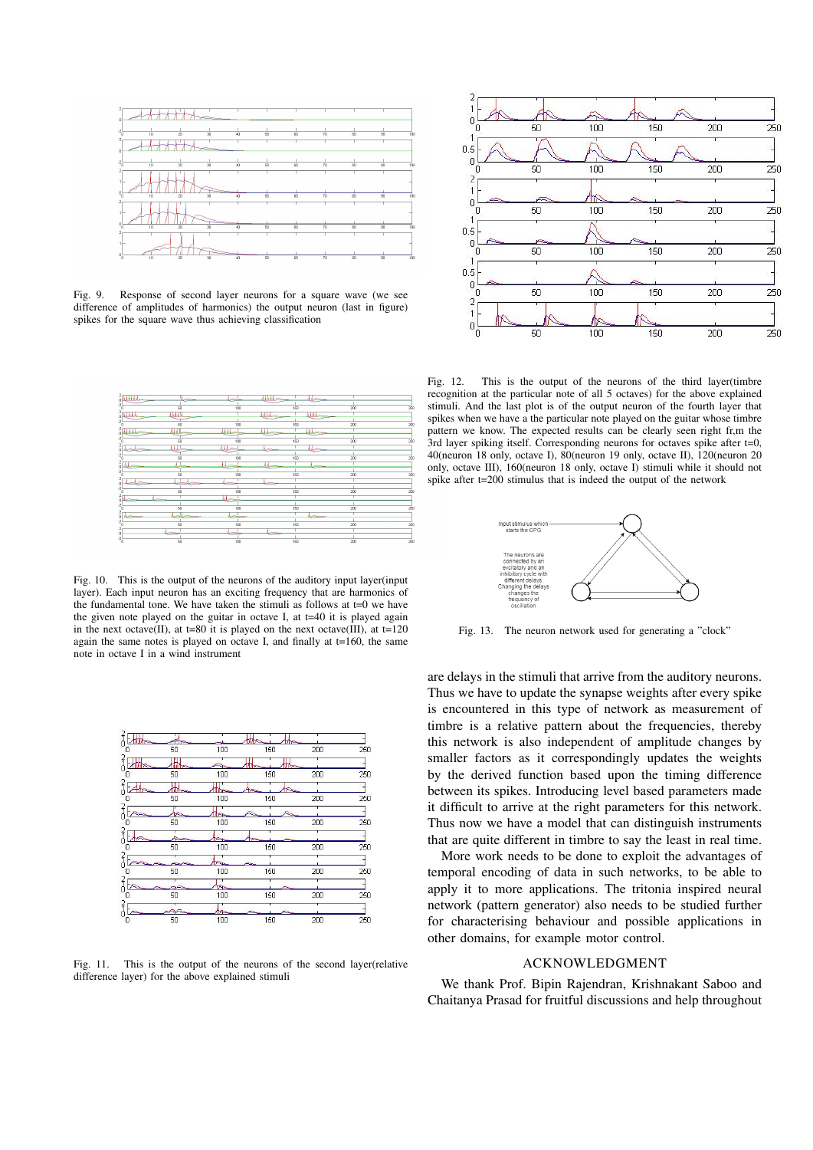

Fig. 9. Response of second layer neurons for a square wave (we see difference of amplitudes of harmonics) the output neuron (last in figure) spikes for the square wave thus achieving classification

|                                                                                                                                                                                                                                                                                                                                                                                                                                                          |                         |     | مستنسة |   |                         |
|----------------------------------------------------------------------------------------------------------------------------------------------------------------------------------------------------------------------------------------------------------------------------------------------------------------------------------------------------------------------------------------------------------------------------------------------------------|-------------------------|-----|--------|---|-------------------------|
|                                                                                                                                                                                                                                                                                                                                                                                                                                                          |                         |     |        |   |                         |
|                                                                                                                                                                                                                                                                                                                                                                                                                                                          | 90                      | 100 | 150    |   | 200<br>$\overline{250}$ |
|                                                                                                                                                                                                                                                                                                                                                                                                                                                          | ИΠ                      |     | ш      | ш |                         |
|                                                                                                                                                                                                                                                                                                                                                                                                                                                          |                         |     |        |   |                         |
|                                                                                                                                                                                                                                                                                                                                                                                                                                                          | 90                      | 100 | 150    |   | 250<br>200              |
| $\frac{2}{3}$                                                                                                                                                                                                                                                                                                                                                                                                                                            | ш                       | ш   |        |   |                         |
|                                                                                                                                                                                                                                                                                                                                                                                                                                                          |                         |     |        |   |                         |
|                                                                                                                                                                                                                                                                                                                                                                                                                                                          | 50                      | 100 | 150    |   | $\overline{260}$<br>200 |
|                                                                                                                                                                                                                                                                                                                                                                                                                                                          |                         |     |        |   |                         |
| $\frac{2}{3}$                                                                                                                                                                                                                                                                                                                                                                                                                                            |                         |     |        |   |                         |
|                                                                                                                                                                                                                                                                                                                                                                                                                                                          | 50                      | 100 | 150    |   | $\overline{250}$<br>200 |
|                                                                                                                                                                                                                                                                                                                                                                                                                                                          |                         |     |        |   |                         |
|                                                                                                                                                                                                                                                                                                                                                                                                                                                          |                         |     |        |   |                         |
|                                                                                                                                                                                                                                                                                                                                                                                                                                                          | 90                      | 100 | 150    |   | $\overline{250}$<br>200 |
| $\frac{2}{6}$                                                                                                                                                                                                                                                                                                                                                                                                                                            |                         |     |        |   |                         |
|                                                                                                                                                                                                                                                                                                                                                                                                                                                          |                         |     |        |   |                         |
|                                                                                                                                                                                                                                                                                                                                                                                                                                                          | 50                      | 100 | 150    |   | $\overline{250}$<br>200 |
|                                                                                                                                                                                                                                                                                                                                                                                                                                                          |                         |     |        |   |                         |
|                                                                                                                                                                                                                                                                                                                                                                                                                                                          |                         |     |        |   |                         |
|                                                                                                                                                                                                                                                                                                                                                                                                                                                          | 50                      | 100 | 150    |   | 250<br>200              |
|                                                                                                                                                                                                                                                                                                                                                                                                                                                          |                         |     |        |   |                         |
|                                                                                                                                                                                                                                                                                                                                                                                                                                                          |                         |     |        |   |                         |
| $\begin{array}{c} 2 \text{ } 2 \text{ } 0 \text{ } \\ 0 \text{ } 0 \text{ } \\ 0 \text{ } \\ 0 \text{ } \\ 0 \text{ } \\ 0 \text{ } \\ 0 \text{ } \\ 0 \text{ } \\ 0 \text{ } \\ 0 \text{ } \\ 0 \text{ } \\ 0 \text{ } \\ 0 \text{ } \\ 0 \text{ } \\ 0 \text{ } \\ 0 \text{ } \\ 0 \text{ } \\ 0 \text{ } \\ 0 \text{ } \\ 0 \text{ } \\ 0 \text{ } \\ 0 \text{ } \\ 0 \text{ } \\ 0 \text{ } \\ 0 \text{ } \\ 0 \text{ } \\ 0 \text{ } \\ 0 \text{ }$ | 50                      | 100 | 150    |   | 250<br>200              |
|                                                                                                                                                                                                                                                                                                                                                                                                                                                          | <b><i><u> —</u></i></b> |     |        |   |                         |
| 상                                                                                                                                                                                                                                                                                                                                                                                                                                                        |                         |     |        |   |                         |
|                                                                                                                                                                                                                                                                                                                                                                                                                                                          | 50                      | 100 | 150    |   | 260<br>200              |

Fig. 10. This is the output of the neurons of the auditory input layer(input layer). Each input neuron has an exciting frequency that are harmonics of the fundamental tone. We have taken the stimuli as follows at t=0 we have the given note played on the guitar in octave I, at t=40 it is played again in the next octave(II), at t=80 it is played on the next octave(III), at t=120 again the same notes is played on octave I, and finally at  $t=160$ , the same note in octave I in a wind instrument

|   |    |     | ₩ж  |     |     |
|---|----|-----|-----|-----|-----|
|   | 50 | 100 | 150 | 200 | 250 |
| Ů | Н  |     |     |     |     |
|   | 50 | 100 | 150 | 200 | 250 |
|   |    |     |     |     |     |
|   | 50 | 100 | 150 | 200 | 250 |
| Í |    | w   |     |     |     |
|   | 50 | 100 | 150 | 200 | 250 |
| Ó | ∼  |     | œ   |     |     |
|   | 50 | 100 | 150 | 200 | 250 |
| n |    |     |     |     |     |
|   | 50 | 100 | 150 | 200 | 250 |
| ń |    | ×.  |     |     |     |
|   | 50 | 100 | 150 | 200 | 250 |
| Ó | ↬  | ਅ∾  |     |     |     |
| 0 | 50 | 100 | 150 | 200 | 250 |

Fig. 11. This is the output of the neurons of the second layer(relative difference layer) for the above explained stimuli



Fig. 12. This is the output of the neurons of the third layer(timbre recognition at the particular note of all 5 octaves) for the above explained stimuli. And the last plot is of the output neuron of the fourth layer that spikes when we have a the particular note played on the guitar whose timbre pattern we know. The expected results can be clearly seen right fr,m the 3rd layer spiking itself. Corresponding neurons for octaves spike after t=0, 40(neuron 18 only, octave I), 80(neuron 19 only, octave II), 120(neuron 20 only, octave III), 160(neuron 18 only, octave I) stimuli while it should not spike after t=200 stimulus that is indeed the output of the network



Fig. 13. The neuron network used for generating a "clock"

are delays in the stimuli that arrive from the auditory neurons. Thus we have to update the synapse weights after every spike is encountered in this type of network as measurement of timbre is a relative pattern about the frequencies, thereby this network is also independent of amplitude changes by smaller factors as it correspondingly updates the weights by the derived function based upon the timing difference between its spikes. Introducing level based parameters made it difficult to arrive at the right parameters for this network. Thus now we have a model that can distinguish instruments that are quite different in timbre to say the least in real time.

More work needs to be done to exploit the advantages of temporal encoding of data in such networks, to be able to apply it to more applications. The tritonia inspired neural network (pattern generator) also needs to be studied further for characterising behaviour and possible applications in other domains, for example motor control.

# ACKNOWLEDGMENT

We thank Prof. Bipin Rajendran, Krishnakant Saboo and Chaitanya Prasad for fruitful discussions and help throughout